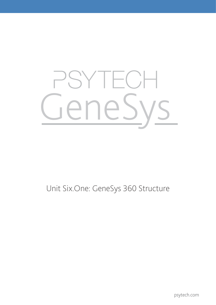# YTECI eneSy

## Unit Six.One: GeneSys 360 Structure

psytech.com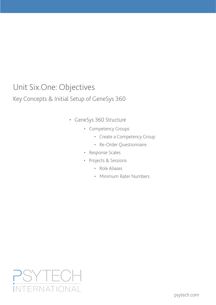## Unit Six.One: Objectives

#### Key Concepts & Initial Setup of GeneSys 360

- • GeneSys 360 Structure
	- • Competency Groups
		- • Create a Competency Group
		- • Re-Order Questionnaire
	- • Response Scales
	- • Projects & Sessions
		- • Role Aliases
		- • Minimum Rater Numbers

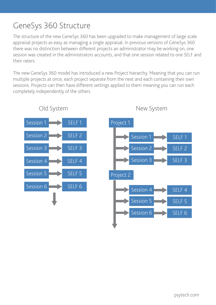# GeneSys 360 Structure

The structure of the new GeneSys 360 has been upgraded to make management of large scale appraisal projects as easy as managing a single appraisal. In previous versions of GeneSys 360 there was no distinction between different projects an administrator may be working on, one session was created in the administrators accounts, and that one session related to one SELF and their raters.

The new GeneSys 360 model has introduced a new Project hierarchy. Meaning that you can run multiple projects at once, each project separate from the next and each containing their own sessions. Projects can then have different settings applied to them meaning you can run each completely independently of the others.



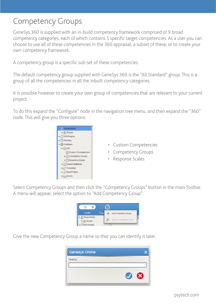#### Competency Groups

GeneSys 360 is supplied with an in-build competency framework comprised of 9 broad competency categories, each of which contains 5 specific target competencies. As a user you can choose to use all of these competencies in the 360 appraisal, a subset of these, or to create your own competency framework.

A competency group is a specific sub-set of these competencies.

The default competency group supplied with GeneSys 360 is the "All Standard" group. This is a group of all the competencies in all the inbuilt competency categories.

It is possible however to create your own group of competencies that are relevant to your current project.

To do this expand the "Configure" node in the navigation tree menu, and then expand the "360" node. This will give you three options:



- • Custom Competencies
- • Competency Groups
- • Response Scales

Select Competency Groups and then click the "Competency Groups" button in the main Toolbar. A menu will appear, select the option to "Add Competency Group".



Give the new Competency Group a name so that you can identify it later.

| <b>Genesys Online</b> |   |
|-----------------------|---|
| Name:                 |   |
|                       | ೞ |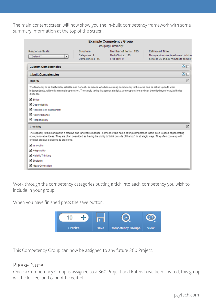The main content screen will now show you the in-built competency framework with some summary information at the top of the screen.

|                                                                                                                                                                                                                                                                                                                                              |                                                 | <b>Example Competency Group</b><br>Grouping Summary:     |                                                                                                           |
|----------------------------------------------------------------------------------------------------------------------------------------------------------------------------------------------------------------------------------------------------------------------------------------------------------------------------------------------|-------------------------------------------------|----------------------------------------------------------|-----------------------------------------------------------------------------------------------------------|
| Response Scale:<br>**Default**                                                                                                                                                                                                                                                                                                               | Structure:<br>Categories: 9<br>Competencies: 45 | Number of Items: 135<br>Multi-Choice: 135<br>Free Text 0 | <b>Estimated Time:</b><br>This questionnaire is estimated to take<br>between 35 and 45 minutes to complet |
| <b>Custom Competencies</b>                                                                                                                                                                                                                                                                                                                   |                                                 |                                                          | םם                                                                                                        |
| <b>Inbuilt Competencies</b>                                                                                                                                                                                                                                                                                                                  |                                                 |                                                          | ◚<br>г                                                                                                    |
| <b>Integrity</b>                                                                                                                                                                                                                                                                                                                             |                                                 |                                                          | $\overline{\mathbb{M}}$                                                                                   |
| The tendency to be trustworthy, reliable and honest - someone who has a strong competency in this area can be relied upon to work<br>independently, with only minimal supervision. They avoid taking inappropriate risks, are responsible and can be relied upon to act with due<br>diligence.<br><b>√</b> Ethics                            |                                                 |                                                          |                                                                                                           |
| Oependability                                                                                                                                                                                                                                                                                                                                |                                                 |                                                          |                                                                                                           |
| Realistic Self-assessment                                                                                                                                                                                                                                                                                                                    |                                                 |                                                          |                                                                                                           |
| Risk Avoidance                                                                                                                                                                                                                                                                                                                               |                                                 |                                                          |                                                                                                           |
| Responsibility                                                                                                                                                                                                                                                                                                                               |                                                 |                                                          |                                                                                                           |
| Creativity                                                                                                                                                                                                                                                                                                                                   |                                                 |                                                          | ☑                                                                                                         |
| The capacity to think and act in a creative and innovative manner - someone who has a strong competence in this area is good at generating<br>novel, innovative ideas. They are often described as having the ability to 'think outside of the box', in strategic ways. They often come up with<br>original, creative solutions to problems. |                                                 |                                                          |                                                                                                           |
| Innovation                                                                                                                                                                                                                                                                                                                                   |                                                 |                                                          |                                                                                                           |
| Adaptability                                                                                                                                                                                                                                                                                                                                 |                                                 |                                                          |                                                                                                           |
| Holistic Thinking                                                                                                                                                                                                                                                                                                                            |                                                 |                                                          |                                                                                                           |
| Strategic                                                                                                                                                                                                                                                                                                                                    |                                                 |                                                          |                                                                                                           |
| Ideas Generation                                                                                                                                                                                                                                                                                                                             |                                                 |                                                          |                                                                                                           |

Work through the competency categories putting a tick into each competency you wish to include in your group.

When you have finished press the save button.



This Competency Group can now be assigned to any future 360 Project.

#### Please Note

Once a Competency Group is assigned to a 360 Project and Raters have been invited, this group will be locked, and cannot be edited.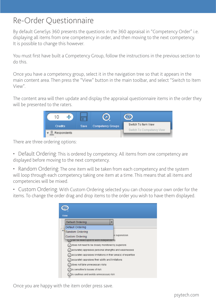### Re-Order Questionnaire

By default GeneSys 360 presents the questions in the 360 appraisal in "Competency Order" i.e. displaying all items from one competency in order, and then moving to the next competency. It is possible to change this however.

You must first have built a Competency Group, follow the instructions in the previous section to do this.

Once you have a competency group, select it in the navigation tree so that it appears in the main content area. Then press the "View" button in the main toolbar, and select "Switch to Item View".

The content area will then update and display the appraisal questionnaire items in the order they will be presented to the raters.



There are three ordering options:

- Default Ordering: This is ordered by competency. All items from one competency are displayed before moving to the next competency.
- Random Ordering: The one item will be taken from each competency and the system will loop through each competency taking one item at a time. This means that all items and competencies will be mixed.
- Custom Ordering: With Custom Ordering selected you can choose your own order for the items. To change the order drag and drop items to the order you wish to have them displayed.

| <b>View</b><br><b>Default Ordering</b>                         | ▼             |
|----------------------------------------------------------------|---------------|
| Default Ordering                                               |               |
| Random Ordering                                                |               |
| <b>Custom Ordering</b>                                         | e supervision |
| (can be relied upon to work independently                      |               |
| does not need to be closely monitored by superiors             |               |
| accurately appraises personal strengths and weaknesses         |               |
| accurately appraises limitations in their area(s) of expertise |               |
| accurately appraises their ability and limitations             |               |
| does not take unnecessary risks                                |               |
| is sensitive to issues of risk                                 |               |
| is cautious and avoids unnecessary risk                        |               |

Once you are happy with the item order press save.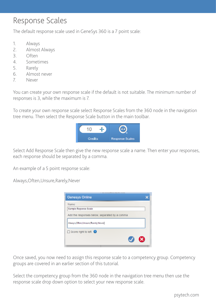#### Response Scales

The default response scale used in GeneSys 360 is a 7 point scale:

- 1. Always
- 2. Almost Always
- 3. Often
- 4. Sometimes
- 5. Rarely
- 6. Almost never
- 7. Never

You can create your own response scale if the default is not suitable. The minimum number of responses is 3, while the maximum is 7.

To create your own response scale select Response Scales from the 360 node in the navigation tree menu. Then select the Response Scale button in the main toolbar.



Select Add Response Scale then give the new response scale a name. Then enter your responses, each response should be separated by a comma.

An example of a 5 point response scale:

Always,Often,Unsure,Rarely,Never

| on one allowed have come                      |  |
|-----------------------------------------------|--|
| <b>Genesys Online</b>                         |  |
| Name                                          |  |
| Sample Reponse Scale                          |  |
| Add the responses below, separated by a comma |  |
| Always, Often, Unsure, Rarely, Never          |  |
| $\Box$ Score right to left $\Box$             |  |
|                                               |  |
|                                               |  |

Once saved, you now need to assign this response scale to a competency group. Competency groups are covered in an earlier section of this tutorial.

Select the competency group from the 360 node in the navigation tree menu then use the response scale drop down option to select your new response scale.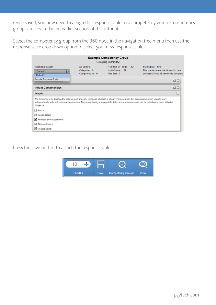Once saved, you now need to assign this response scale to a competency group. Competency groups are covered in an earlier section of this tutorial.

Select the competency group from the 360 node in the navigation tree menu then use the response scale drop down option to select your new response scale.

| <b>Example Competency Group</b><br>Grouping Summary:                                                                                                                                                                                                                                           |                                                       |                                                          |                                                                                                             |
|------------------------------------------------------------------------------------------------------------------------------------------------------------------------------------------------------------------------------------------------------------------------------------------------|-------------------------------------------------------|----------------------------------------------------------|-------------------------------------------------------------------------------------------------------------|
| Response Scale<br>**Default**<br>٠<br>**Default**                                                                                                                                                                                                                                              | <b>Structure</b><br>Categories: 9<br>Competencies: 44 | Number of Items: 132<br>Multi-Choice: 132<br>Free Text 0 | <b>Estimated Time:</b><br>This questionnaire is estimated to take<br>between 35 and 45 minutes to complete. |
| Sample Reponse Scale                                                                                                                                                                                                                                                                           |                                                       |                                                          | םם                                                                                                          |
| <b>Inbuilt Competencies</b>                                                                                                                                                                                                                                                                    |                                                       |                                                          | ◚⊓                                                                                                          |
| <b>Integrity</b>                                                                                                                                                                                                                                                                               |                                                       |                                                          | □                                                                                                           |
| The tendency to be trustworthy, reliable and honest - someone who has a strong competency in this area can be relied upon to work<br>independently, with only minimal supervision. They avoid taking inappropriate risks, are responsible and can be relied upon to act with due<br>diligence. |                                                       |                                                          |                                                                                                             |
| $\Box$ Ethics                                                                                                                                                                                                                                                                                  |                                                       |                                                          |                                                                                                             |
| Dependability                                                                                                                                                                                                                                                                                  |                                                       |                                                          |                                                                                                             |
| Realistic Self-assessment                                                                                                                                                                                                                                                                      |                                                       |                                                          |                                                                                                             |
| Risk Avoidance                                                                                                                                                                                                                                                                                 |                                                       |                                                          |                                                                                                             |
| Responsibility                                                                                                                                                                                                                                                                                 |                                                       |                                                          |                                                                                                             |

Press the save button to attach the response scale.

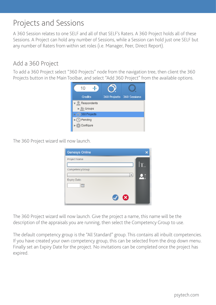## Projects and Sessions

A 360 Session relates to one SELF and all of that SELF's Raters. A 360 Project holds all of these Sessions. A Project can hold any number of Sessions, while a Session can hold just one SELF but any number of Raters from within set roles (i.e. Manager, Peer, Direct Report).

#### Add a 360 Project

To add a 360 Project select "360 Projects" node from the navigation tree, then client the 360 Projects button in the Main Toolbar, and select "Add 360 Project" from the available options.



The 360 Project wizard will now launch.

| <b>Genesys Online</b> |     |
|-----------------------|-----|
| Project Name          |     |
| CompetencyGroup:      | IT. |
| ۳                     |     |
| Expiry Date:          |     |
| 面                     |     |
|                       |     |
| ణ<br>V                |     |

The 360 Project wizard will now launch. Give the project a name, this name will be the description of the appraisals you are running, then select the Competency Group to use.

The default competency group is the "All Standard" group. This contains all inbuilt competencies. If you have created your own competency group, this can be selected from the drop down menu. Finally set an Expiry Date for the project. No invitations can be completed once the project has expired.